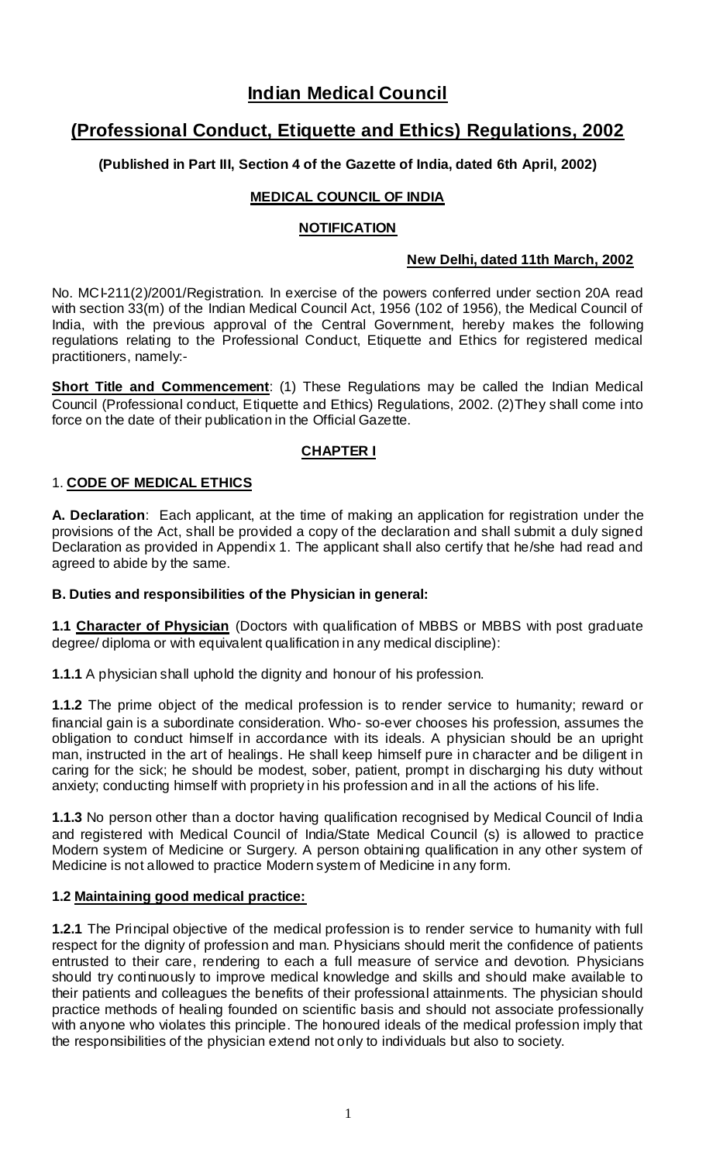# **Indian Medical Council**

# **(Professional Conduct, Etiquette and Ethics) Regulations, 2002**

# **(Published in Part III, Section 4 of the Gazette of India, dated 6th April, 2002)**

### **MEDICAL COUNCIL OF INDIA**

### **NOTIFICATION**

#### **New Delhi, dated 11th March, 2002**

No. MCI-211(2)/2001/Registration. In exercise of the powers conferred under section 20A read with section 33(m) of the Indian Medical Council Act, 1956 (102 of 1956), the Medical Council of India, with the previous approval of the Central Government, hereby makes the following regulations relating to the Professional Conduct, Etiquette and Ethics for registered medical practitioners, namely:-

**Short Title and Commencement:** (1) These Regulations may be called the Indian Medical Council (Professional conduct, Etiquette and Ethics) Regulations, 2002. (2)They shall come into force on the date of their publication in the Official Gazette.

# **CHAPTER I**

### 1. **CODE OF MEDICAL ETHICS**

**A. Declaration**: Each applicant, at the time of making an application for registration under the provisions of the Act, shall be provided a copy of the declaration and shall submit a duly signed Declaration as provided in Appendix 1. The applicant shall also certify that he/she had read and agreed to abide by the same.

### **B. Duties and responsibilities of the Physician in general:**

**1.1 Character of Physician** (Doctors with qualification of MBBS or MBBS with post graduate degree/ diploma or with equivalent qualification in any medical discipline):

**1.1.1** A physician shall uphold the dignity and honour of his profession.

**1.1.2** The prime object of the medical profession is to render service to humanity; reward or financial gain is a subordinate consideration. Who- so-ever chooses his profession, assumes the obligation to conduct himself in accordance with its ideals. A physician should be an upright man, instructed in the art of healings. He shall keep himself pure in character and be diligent in caring for the sick; he should be modest, sober, patient, prompt in discharging his duty without anxiety; conducting himself with propriety in his profession and in all the actions of his life.

**1.1.3** No person other than a doctor having qualification recognised by Medical Council of India and registered with Medical Council of India/State Medical Council (s) is allowed to practice Modern system of Medicine or Surgery. A person obtaining qualification in any other system of Medicine is not allowed to practice Modern system of Medicine in any form.

### **1.2 Maintaining good medical practice:**

**1.2.1** The Principal objective of the medical profession is to render service to humanity with full respect for the dignity of profession and man. Physicians should merit the confidence of patients entrusted to their care, rendering to each a full measure of service and devotion. Physicians should try continuously to improve medical knowledge and skills and should make available to their patients and colleagues the benefits of their professional attainments. The physician should practice methods of healing founded on scientific basis and should not associate professionally with anyone who violates this principle. The honoured ideals of the medical profession imply that the responsibilities of the physician extend not only to individuals but also to society.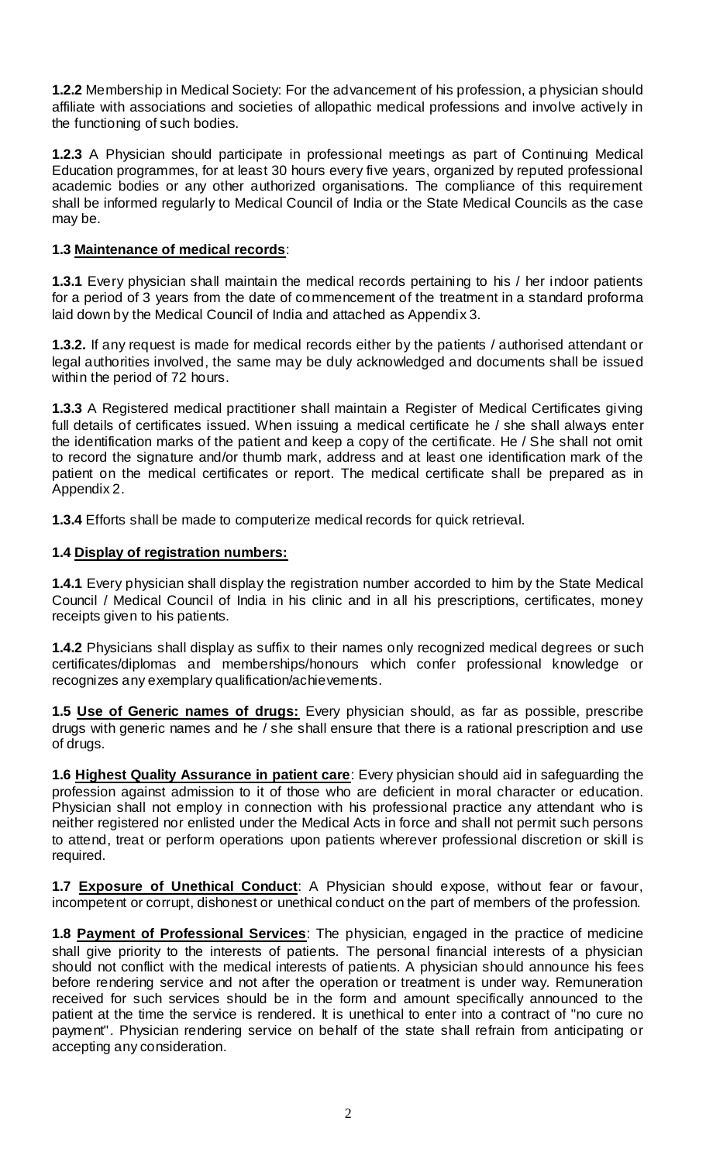**1.2.2** Membership in Medical Society: For the advancement of his profession, a physician should affiliate with associations and societies of allopathic medical professions and involve actively in the functioning of such bodies.

**1.2.3** A Physician should participate in professional meetings as part of Continuing Medical Education programmes, for at least 30 hours every five years, organized by reputed professional academic bodies or any other authorized organisations. The compliance of this requirement shall be informed regularly to Medical Council of India or the State Medical Councils as the case may be.

# **1.3 Maintenance of medical records**:

**1.3.1** Every physician shall maintain the medical records pertaining to his / her indoor patients for a period of 3 years from the date of commencement of the treatment in a standard proforma laid down by the Medical Council of India and attached as Appendix 3.

**1.3.2.** If any request is made for medical records either by the patients / authorised attendant or legal authorities involved, the same may be duly acknowledged and documents shall be issued within the period of 72 hours.

**1.3.3** A Registered medical practitioner shall maintain a Register of Medical Certificates giving full details of certificates issued. When issuing a medical certificate he / she shall always enter the identification marks of the patient and keep a copy of the certificate. He / She shall not omit to record the signature and/or thumb mark, address and at least one identification mark of the patient on the medical certificates or report. The medical certificate shall be prepared as in Appendix 2.

**1.3.4** Efforts shall be made to computerize medical records for quick retrieval.

# **1.4 Display of registration numbers:**

**1.4.1** Every physician shall display the registration number accorded to him by the State Medical Council / Medical Council of India in his clinic and in all his prescriptions, certificates, money receipts given to his patients.

**1.4.2** Physicians shall display as suffix to their names only recognized medical degrees or such certificates/diplomas and memberships/honours which confer professional knowledge or recognizes any exemplary qualification/achievements.

**1.5 Use of Generic names of drugs:** Every physician should, as far as possible, prescribe drugs with generic names and he / she shall ensure that there is a rational prescription and use of drugs.

**1.6 Highest Quality Assurance in patient care**: Every physician should aid in safeguarding the profession against admission to it of those who are deficient in moral character or education. Physician shall not employ in connection with his professional practice any attendant who is neither registered nor enlisted under the Medical Acts in force and shall not permit such persons to attend, treat or perform operations upon patients wherever professional discretion or skill is required.

**1.7 Exposure of Unethical Conduct**: A Physician should expose, without fear or favour, incompetent or corrupt, dishonest or unethical conduct on the part of members of the profession.

**1.8 Payment of Professional Services**: The physician, engaged in the practice of medicine shall give priority to the interests of patients. The personal financial interests of a physician should not conflict with the medical interests of patients. A physician should announce his fees before rendering service and not after the operation or treatment is under way. Remuneration received for such services should be in the form and amount specifically announced to the patient at the time the service is rendered. It is unethical to enter into a contract of "no cure no payment". Physician rendering service on behalf of the state shall refrain from anticipating or accepting any consideration.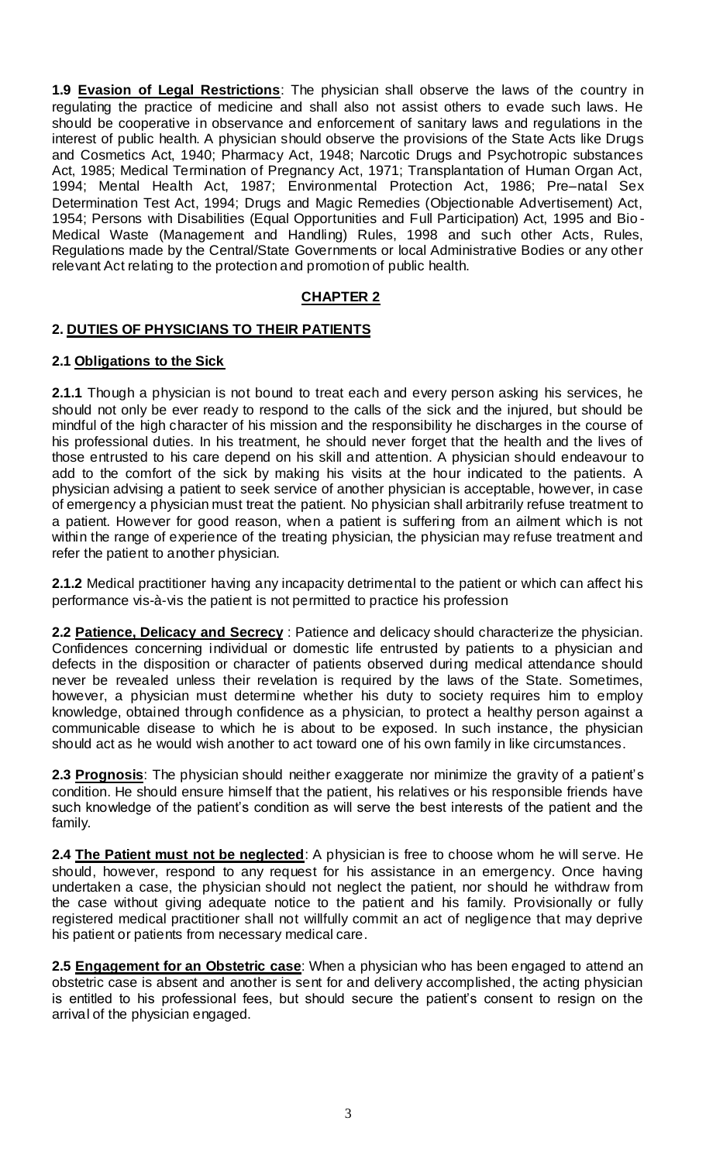**1.9 Evasion of Legal Restrictions**: The physician shall observe the laws of the country in regulating the practice of medicine and shall also not assist others to evade such laws. He should be cooperative in observance and enforcement of sanitary laws and regulations in the interest of public health. A physician should observe the provisions of the State Acts like Drugs and Cosmetics Act, 1940; Pharmacy Act, 1948; Narcotic Drugs and Psychotropic substances Act, 1985; Medical Termination of Pregnancy Act, 1971; Transplantation of Human Organ Act, 1994; Mental Health Act, 1987; Environmental Protection Act, 1986; Pre–natal Sex Determination Test Act, 1994; Drugs and Magic Remedies (Objectionable Advertisement) Act, 1954; Persons with Disabilities (Equal Opportunities and Full Participation) Act, 1995 and Bio - Medical Waste (Management and Handling) Rules, 1998 and such other Acts, Rules, Regulations made by the Central/State Governments or local Administrative Bodies or any other relevant Act relating to the protection and promotion of public health.

# **CHAPTER 2**

# **2. DUTIES OF PHYSICIANS TO THEIR PATIENTS**

### **2.1 Obligations to the Sick**

**2.1.1** Though a physician is not bound to treat each and every person asking his services, he should not only be ever ready to respond to the calls of the sick and the injured, but should be mindful of the high character of his mission and the responsibility he discharges in the course of his professional duties. In his treatment, he should never forget that the health and the lives of those entrusted to his care depend on his skill and attention. A physician should endeavour to add to the comfort of the sick by making his visits at the hour indicated to the patients. A physician advising a patient to seek service of another physician is acceptable, however, in case of emergency a physician must treat the patient. No physician shall arbitrarily refuse treatment to a patient. However for good reason, when a patient is suffering from an ailment which is not within the range of experience of the treating physician, the physician may refuse treatment and refer the patient to another physician.

**2.1.2** Medical practitioner having any incapacity detrimental to the patient or which can affect his performance vis-à-vis the patient is not permitted to practice his profession

**2.2 Patience, Delicacy and Secrecy** : Patience and delicacy should characterize the physician. Confidences concerning individual or domestic life entrusted by patients to a physician and defects in the disposition or character of patients observed during medical attendance should never be revealed unless their revelation is required by the laws of the State. Sometimes, however, a physician must determine whether his duty to society requires him to employ knowledge, obtained through confidence as a physician, to protect a healthy person against a communicable disease to which he is about to be exposed. In such instance, the physician should act as he would wish another to act toward one of his own family in like circumstances.

**2.3 Prognosis**: The physician should neither exaggerate nor minimize the gravity of a patient"s condition. He should ensure himself that the patient, his relatives or his responsible friends have such knowledge of the patient's condition as will serve the best interests of the patient and the family.

**2.4 The Patient must not be neglected**: A physician is free to choose whom he will serve. He should, however, respond to any request for his assistance in an emergency. Once having undertaken a case, the physician should not neglect the patient, nor should he withdraw from the case without giving adequate notice to the patient and his family. Provisionally or fully registered medical practitioner shall not willfully commit an act of negligence that may deprive his patient or patients from necessary medical care.

**2.5 Engagement for an Obstetric case**: When a physician who has been engaged to attend an obstetric case is absent and another is sent for and delivery accomplished, the acting physician is entitled to his professional fees, but should secure the patient"s consent to resign on the arrival of the physician engaged.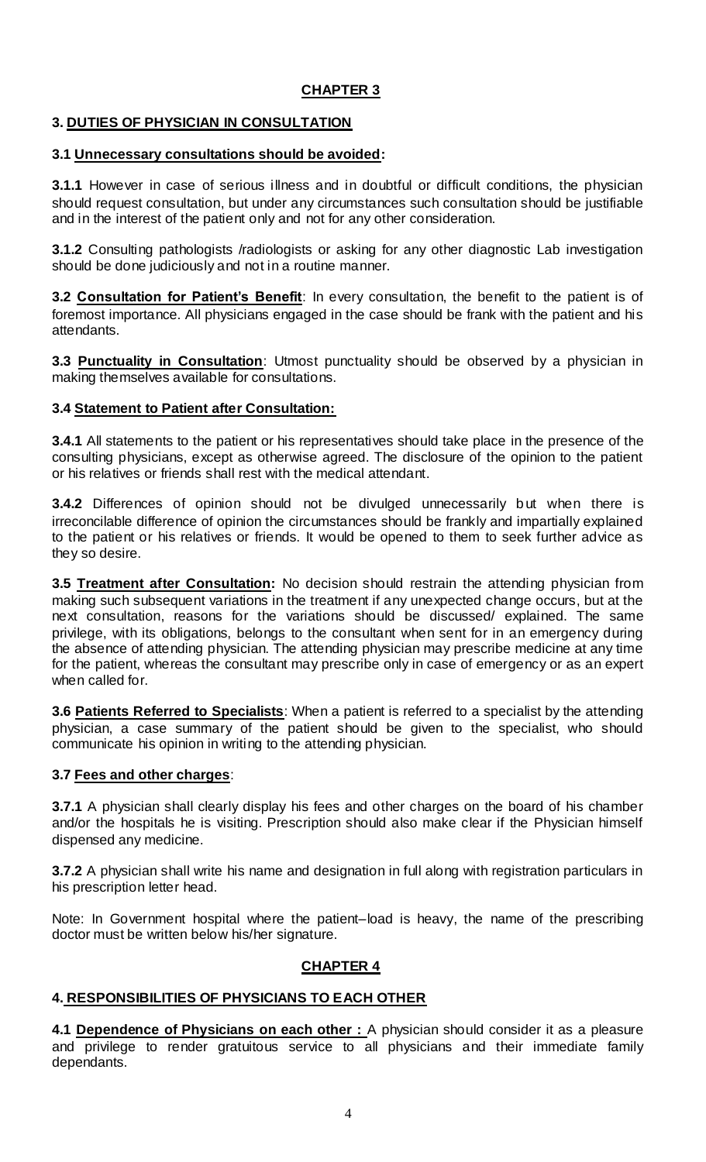# **CHAPTER 3**

# **3. DUTIES OF PHYSICIAN IN CONSULTATION**

# **3.1 Unnecessary consultations should be avoided:**

**3.1.1** However in case of serious illness and in doubtful or difficult conditions, the physician should request consultation, but under any circumstances such consultation should be justifiable and in the interest of the patient only and not for any other consideration.

**3.1.2** Consulting pathologists /radiologists or asking for any other diagnostic Lab investigation should be done judiciously and not in a routine manner.

**3.2 Consultation for Patient's Benefit**: In every consultation, the benefit to the patient is of foremost importance. All physicians engaged in the case should be frank with the patient and his attendants.

**3.3 Punctuality in Consultation**: Utmost punctuality should be observed by a physician in making themselves available for consultations.

# **3.4 Statement to Patient after Consultation:**

**3.4.1** All statements to the patient or his representatives should take place in the presence of the consulting physicians, except as otherwise agreed. The disclosure of the opinion to the patient or his relatives or friends shall rest with the medical attendant.

**3.4.2** Differences of opinion should not be divulged unnecessarily but when there is irreconcilable difference of opinion the circumstances should be frankly and impartially explained to the patient or his relatives or friends. It would be opened to them to seek further advice as they so desire.

**3.5 Treatment after Consultation:** No decision should restrain the attending physician from making such subsequent variations in the treatment if any unexpected change occurs, but at the next consultation, reasons for the variations should be discussed/ explained. The same privilege, with its obligations, belongs to the consultant when sent for in an emergency during the absence of attending physician. The attending physician may prescribe medicine at any time for the patient, whereas the consultant may prescribe only in case of emergency or as an expert when called for.

**3.6 Patients Referred to Specialists**: When a patient is referred to a specialist by the attending physician, a case summary of the patient should be given to the specialist, who should communicate his opinion in writing to the attending physician.

### **3.7 Fees and other charges**:

**3.7.1** A physician shall clearly display his fees and other charges on the board of his chamber and/or the hospitals he is visiting. Prescription should also make clear if the Physician himself dispensed any medicine.

**3.7.2** A physician shall write his name and designation in full along with registration particulars in his prescription letter head.

Note: In Government hospital where the patient–load is heavy, the name of the prescribing doctor must be written below his/her signature.

# **CHAPTER 4**

# **4. RESPONSIBILITIES OF PHYSICIANS TO EACH OTHER**

**4.1 Dependence of Physicians on each other :** A physician should consider it as a pleasure and privilege to render gratuitous service to all physicians and their immediate family dependants.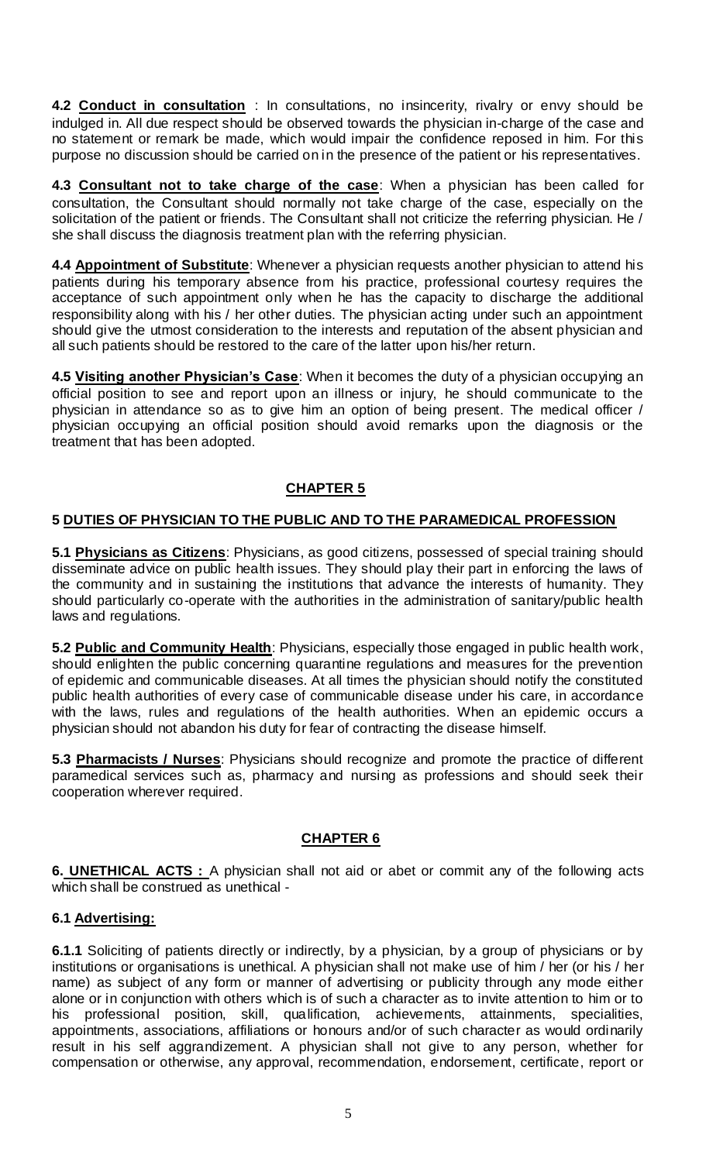**4.2 Conduct in consultation** : In consultations, no insincerity, rivalry or envy should be indulged in. All due respect should be observed towards the physician in-charge of the case and no statement or remark be made, which would impair the confidence reposed in him. For this purpose no discussion should be carried on in the presence of the patient or his representatives.

**4.3 Consultant not to take charge of the case**: When a physician has been called for consultation, the Consultant should normally not take charge of the case, especially on the solicitation of the patient or friends. The Consultant shall not criticize the referring physician. He / she shall discuss the diagnosis treatment plan with the referring physician.

**4.4 Appointment of Substitute**: Whenever a physician requests another physician to attend his patients during his temporary absence from his practice, professional courtesy requires the acceptance of such appointment only when he has the capacity to discharge the additional responsibility along with his / her other duties. The physician acting under such an appointment should give the utmost consideration to the interests and reputation of the absent physician and all such patients should be restored to the care of the latter upon his/her return.

**4.5 Visiting another Physician's Case**: When it becomes the duty of a physician occupying an official position to see and report upon an illness or injury, he should communicate to the physician in attendance so as to give him an option of being present. The medical officer / physician occupying an official position should avoid remarks upon the diagnosis or the treatment that has been adopted.

# **CHAPTER 5**

# **5 DUTIES OF PHYSICIAN TO THE PUBLIC AND TO THE PARAMEDICAL PROFESSION**

**5.1 Physicians as Citizens**: Physicians, as good citizens, possessed of special training should disseminate advice on public health issues. They should play their part in enforcing the laws of the community and in sustaining the institutions that advance the interests of humanity. They should particularly co-operate with the authorities in the administration of sanitary/public health laws and regulations.

**5.2 Public and Community Health**: Physicians, especially those engaged in public health work, should enlighten the public concerning quarantine regulations and measures for the prevention of epidemic and communicable diseases. At all times the physician should notify the constituted public health authorities of every case of communicable disease under his care, in accordance with the laws, rules and regulations of the health authorities. When an epidemic occurs a physician should not abandon his duty for fear of contracting the disease himself.

**5.3 Pharmacists / Nurses**: Physicians should recognize and promote the practice of different paramedical services such as, pharmacy and nursing as professions and should seek their cooperation wherever required.

# **CHAPTER 6**

**6. UNETHICAL ACTS :** A physician shall not aid or abet or commit any of the following acts which shall be construed as unethical -

### **6.1 Advertising:**

**6.1.1** Soliciting of patients directly or indirectly, by a physician, by a group of physicians or by institutions or organisations is unethical. A physician shall not make use of him / her (or his / her name) as subject of any form or manner of advertising or publicity through any mode either alone or in conjunction with others which is of such a character as to invite attention to him or to his professional position, skill, qualification, achievements, attainments, specialities, appointments, associations, affiliations or honours and/or of such character as would ordinarily result in his self aggrandizement. A physician shall not give to any person, whether for compensation or otherwise, any approval, recommendation, endorsement, certificate, report or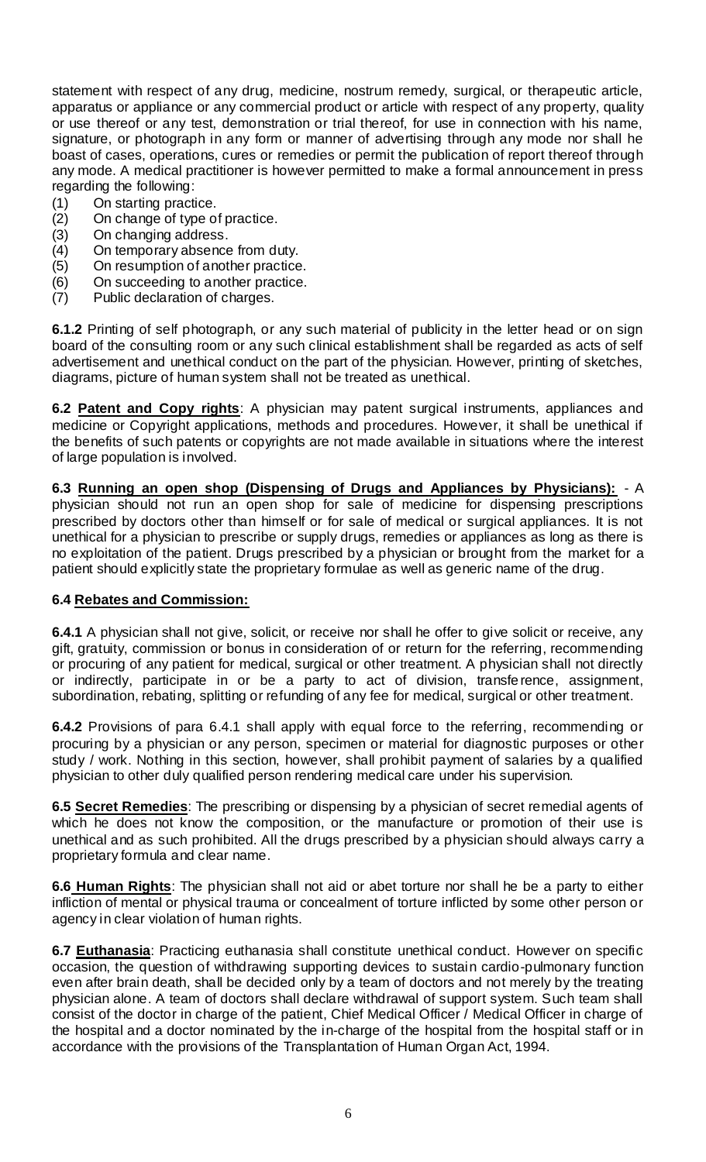statement with respect of any drug, medicine, nostrum remedy, surgical, or therapeutic article, apparatus or appliance or any commercial product or article with respect of any property, quality or use thereof or any test, demonstration or trial thereof, for use in connection with his name, signature, or photograph in any form or manner of advertising through any mode nor shall he boast of cases, operations, cures or remedies or permit the publication of report thereof through any mode. A medical practitioner is however permitted to make a formal announcement in press regarding the following:

- (1) On starting practice.
- (2) On change of type of practice.
- (3) On changing address.
- (4) On temporary absence from duty.
- (5) On resumption of another practice.
- (6) On succeeding to another practice.
- (7) Public declaration of charges.

**6.1.2** Printing of self photograph, or any such material of publicity in the letter head or on sign board of the consulting room or any such clinical establishment shall be regarded as acts of self advertisement and unethical conduct on the part of the physician. However, printing of sketches, diagrams, picture of human system shall not be treated as unethical.

**6.2 Patent and Copy rights**: A physician may patent surgical instruments, appliances and medicine or Copyright applications, methods and procedures. However, it shall be unethical if the benefits of such patents or copyrights are not made available in situations where the interest of large population is involved.

**6.3 Running an open shop (Dispensing of Drugs and Appliances by Physicians):** - A physician should not run an open shop for sale of medicine for dispensing prescriptions prescribed by doctors other than himself or for sale of medical or surgical appliances. It is not unethical for a physician to prescribe or supply drugs, remedies or appliances as long as there is no exploitation of the patient. Drugs prescribed by a physician or brought from the market for a patient should explicitly state the proprietary formulae as well as generic name of the drug.

#### **6.4 Rebates and Commission:**

**6.4.1** A physician shall not give, solicit, or receive nor shall he offer to give solicit or receive, any gift, gratuity, commission or bonus in consideration of or return for the referring, recommending or procuring of any patient for medical, surgical or other treatment. A physician shall not directly or indirectly, participate in or be a party to act of division, transfe rence, assignment, subordination, rebating, splitting or refunding of any fee for medical, surgical or other treatment.

**6.4.2** Provisions of para 6.4.1 shall apply with equal force to the referring, recommending or procuring by a physician or any person, specimen or material for diagnostic purposes or other study / work. Nothing in this section, however, shall prohibit payment of salaries by a qualified physician to other duly qualified person rendering medical care under his supervision.

**6.5 Secret Remedies**: The prescribing or dispensing by a physician of secret remedial agents of which he does not know the composition, or the manufacture or promotion of their use is unethical and as such prohibited. All the drugs prescribed by a physician should always carry a proprietary formula and clear name.

**6.6 Human Rights**: The physician shall not aid or abet torture nor shall he be a party to either infliction of mental or physical trauma or concealment of torture inflicted by some other person or agency in clear violation of human rights.

**6.7 Euthanasia**: Practicing euthanasia shall constitute unethical conduct. However on specific occasion, the question of withdrawing supporting devices to sustain cardio-pulmonary function even after brain death, shall be decided only by a team of doctors and not merely by the treating physician alone. A team of doctors shall declare withdrawal of support system. Such team shall consist of the doctor in charge of the patient, Chief Medical Officer / Medical Officer in charge of the hospital and a doctor nominated by the in-charge of the hospital from the hospital staff or in accordance with the provisions of the Transplantation of Human Organ Act, 1994.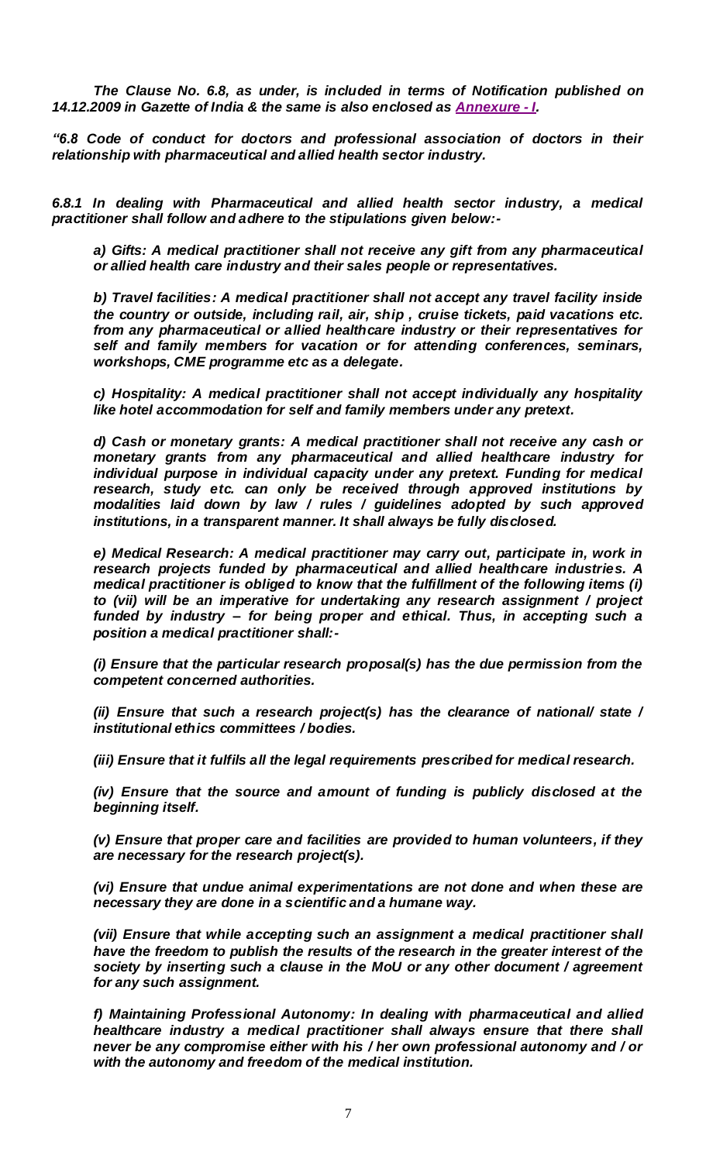*The Clause No. 6.8, as under, is included in terms of Notification published on 14.12.2009 in Gazette of India & the same is also enclosed as [Annexure -](Gazette%20Notifications%20-%20Amendments/Ethics%20-%2010.12.2009.pdf) I.*

*"6.8 Code of conduct for doctors and professional association of doctors in their relationship with pharmaceutical and allied health sector industry.*

*6.8.1 In dealing with Pharmaceutical and allied health sector industry, a medical practitioner shall follow and adhere to the stipulations given below:-*

*a) Gifts: A medical practitioner shall not receive any gift from any pharmaceutical or allied health care industry and their sales people or representatives.* 

*b) Travel facilities: A medical practitioner shall not accept any travel facility inside the country or outside, including rail, air, ship , cruise tickets, paid vacations etc. from any pharmaceutical or allied healthcare industry or their representatives for self and family members for vacation or for attending conferences, seminars, workshops, CME programme etc as a delegate.*

*c) Hospitality: A medical practitioner shall not accept individually any hospitality like hotel accommodation for self and family members under any pretext.*

*d) Cash or monetary grants: A medical practitioner shall not receive any cash or monetary grants from any pharmaceutical and allied healthcare industry for individual purpose in individual capacity under any pretext. Funding for medical research, study etc. can only be received through approved institutions by modalities laid down by law / rules / guidelines adopted by such approved institutions, in a transparent manner. It shall always be fully disclosed.* 

*e) Medical Research: A medical practitioner may carry out, participate in, work in research projects funded by pharmaceutical and allied healthcare industries. A medical practitioner is obliged to know that the fulfillment of the following items (i) to (vii) will be an imperative for undertaking any research assignment / project funded by industry – for being proper and ethical. Thus, in accepting such a position a medical practitioner shall:-*

*(i) Ensure that the particular research proposal(s) has the due permission from the competent concerned authorities.*

*(ii) Ensure that such a research project(s) has the clearance of national/ state / institutional ethics committees / bodies.*

*(iii) Ensure that it fulfils all the legal requirements prescribed for medical research.* 

*(iv) Ensure that the source and amount of funding is publicly disclosed at the beginning itself.* 

*(v) Ensure that proper care and facilities are provided to human volunteers, if they are necessary for the research project(s).* 

*(vi) Ensure that undue animal experimentations are not done and when these are necessary they are done in a scientific and a humane way.* 

*(vii) Ensure that while accepting such an assignment a medical practitioner shall have the freedom to publish the results of the research in the greater interest of the society by inserting such a clause in the MoU or any other document / agreement for any such assignment.*

*f) Maintaining Professional Autonomy: In dealing with pharmaceutical and allied healthcare industry a medical practitioner shall always ensure that there shall never be any compromise either with his / her own professional autonomy and / or with the autonomy and freedom of the medical institution.*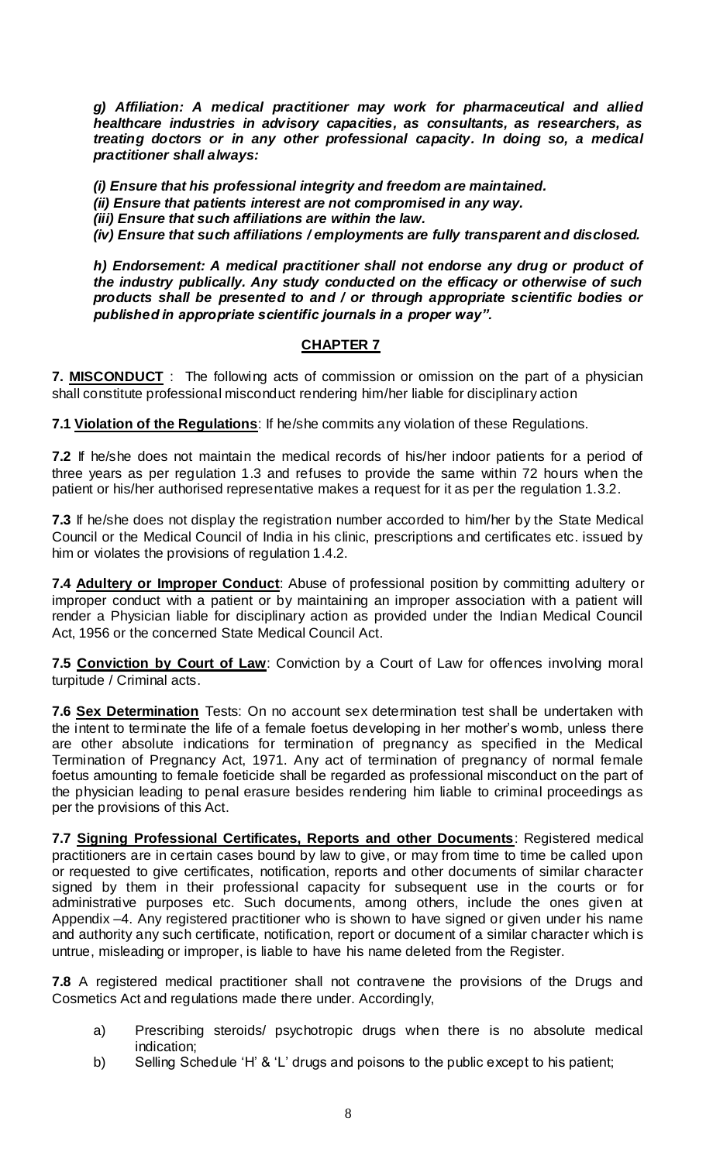*g) Affiliation: A medical practitioner may work for pharmaceutical and allied healthcare industries in advisory capacities, as consultants, as researchers, as treating doctors or in any other professional capacity. In doing so, a medical practitioner shall always:*

*(i) Ensure that his professional integrity and freedom are maintained.*

*(ii) Ensure that patients interest are not compromised in any way.*

*(iii) Ensure that such affiliations are within the law.*

*(iv) Ensure that such affiliations / employments are fully transparent and disclosed.* 

*h) Endorsement: A medical practitioner shall not endorse any drug or product of the industry publically. Any study conducted on the efficacy or otherwise of such products shall be presented to and / or through appropriate scientific bodies or published in appropriate scientific journals in a proper way".*

# **CHAPTER 7**

**7. MISCONDUCT** : The following acts of commission or omission on the part of a physician shall constitute professional misconduct rendering him/her liable for disciplinary action

**7.1 Violation of the Regulations**: If he/she commits any violation of these Regulations.

**7.2** If he/she does not maintain the medical records of his/her indoor patients for a period of three years as per regulation 1.3 and refuses to provide the same within 72 hours when the patient or his/her authorised representative makes a request for it as per the regulation 1.3.2.

**7.3** If he/she does not display the registration number accorded to him/her by the State Medical Council or the Medical Council of India in his clinic, prescriptions and certificates etc. issued by him or violates the provisions of regulation 1.4.2.

**7.4 Adultery or Improper Conduct**: Abuse of professional position by committing adultery or improper conduct with a patient or by maintaining an improper association with a patient will render a Physician liable for disciplinary action as provided under the Indian Medical Council Act, 1956 or the concerned State Medical Council Act.

7.5 Conviction by Court of Law: Conviction by a Court of Law for offences involving moral turpitude / Criminal acts.

**7.6 Sex Determination** Tests: On no account sex determination test shall be undertaken with the intent to terminate the life of a female foetus developing in her mother"s womb, unless there are other absolute indications for termination of pregnancy as specified in the Medical Termination of Pregnancy Act, 1971. Any act of termination of pregnancy of normal female foetus amounting to female foeticide shall be regarded as professional misconduct on the part of the physician leading to penal erasure besides rendering him liable to criminal proceedings as per the provisions of this Act.

**7.7 Signing Professional Certificates, Reports and other Documents**: Registered medical practitioners are in certain cases bound by law to give, or may from time to time be called upon or requested to give certificates, notification, reports and other documents of similar character signed by them in their professional capacity for subsequent use in the courts or for administrative purposes etc. Such documents, among others, include the ones given at Appendix –4. Any registered practitioner who is shown to have signed or given under his name and authority any such certificate, notification, report or document of a similar character which is untrue, misleading or improper, is liable to have his name deleted from the Register.

**7.8** A registered medical practitioner shall not contravene the provisions of the Drugs and Cosmetics Act and regulations made there under. Accordingly,

- a) Prescribing steroids/ psychotropic drugs when there is no absolute medical indication;
- b) Selling Schedule 'H' & 'L' drugs and poisons to the public except to his patient;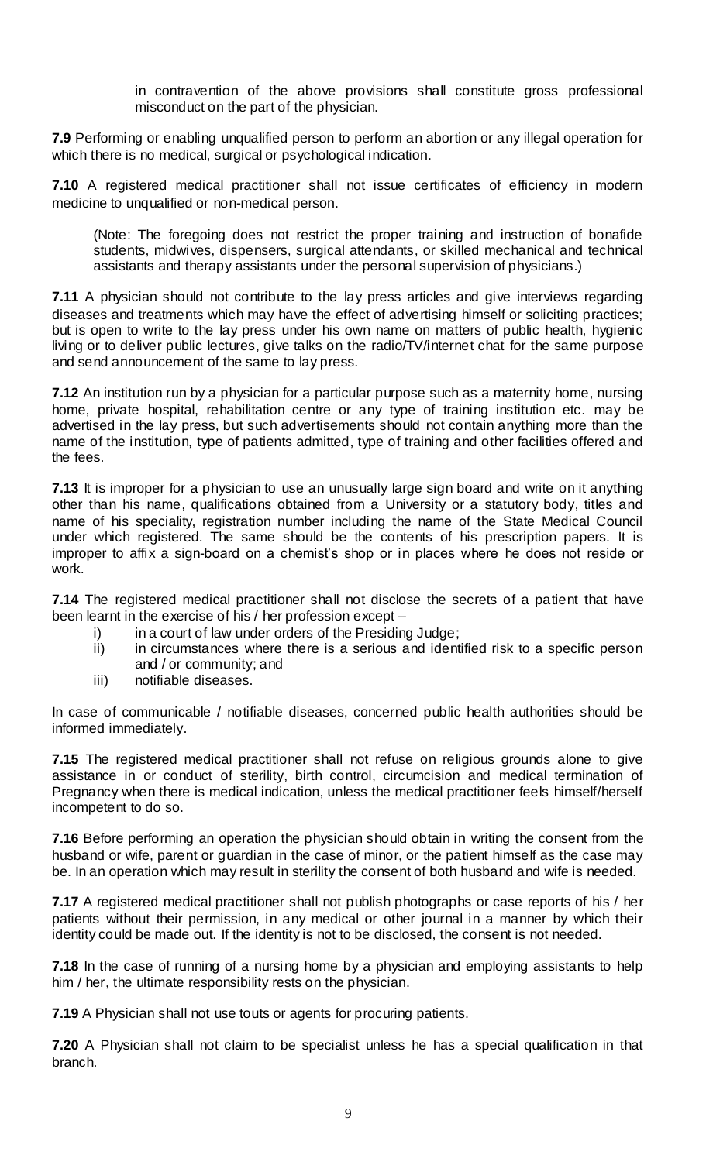in contravention of the above provisions shall constitute gross professional misconduct on the part of the physician.

**7.9** Performing or enabling unqualified person to perform an abortion or any illegal operation for which there is no medical, surgical or psychological indication.

**7.10** A registered medical practitioner shall not issue certificates of efficiency in modern medicine to unqualified or non-medical person.

(Note: The foregoing does not restrict the proper training and instruction of bonafide students, midwives, dispensers, surgical attendants, or skilled mechanical and technical assistants and therapy assistants under the personal supervision of physicians.)

**7.11** A physician should not contribute to the lay press articles and give interviews regarding diseases and treatments which may have the effect of advertising himself or soliciting practices; but is open to write to the lay press under his own name on matters of public health, hygienic living or to deliver public lectures, give talks on the radio/TV/internet chat for the same purpose and send announcement of the same to lay press.

**7.12** An institution run by a physician for a particular purpose such as a maternity home, nursing home, private hospital, rehabilitation centre or any type of training institution etc. may be advertised in the lay press, but such advertisements should not contain anything more than the name of the institution, type of patients admitted, type of training and other facilities offered and the fees.

**7.13** It is improper for a physician to use an unusually large sign board and write on it anything other than his name, qualifications obtained from a University or a statutory body, titles and name of his speciality, registration number including the name of the State Medical Council under which registered. The same should be the contents of his prescription papers. It is improper to affix a sign-board on a chemist's shop or in places where he does not reside or work.

**7.14** The registered medical practitioner shall not disclose the secrets of a patient that have been learnt in the exercise of his / her profession except –

- i) in a court of law under orders of the Presiding Judge;
- ii) in circumstances where there is a serious and identified risk to a specific person and / or community; and
- iii) notifiable diseases.

In case of communicable / notifiable diseases, concerned public health authorities should be informed immediately.

**7.15** The registered medical practitioner shall not refuse on religious grounds alone to give assistance in or conduct of sterility, birth control, circumcision and medical termination of Pregnancy when there is medical indication, unless the medical practitioner feels himself/herself incompetent to do so.

**7.16** Before performing an operation the physician should obtain in writing the consent from the husband or wife, parent or guardian in the case of minor, or the patient himself as the case may be. In an operation which may result in sterility the consent of both husband and wife is needed.

**7.17** A registered medical practitioner shall not publish photographs or case reports of his / her patients without their permission, in any medical or other journal in a manner by which their identity could be made out. If the identity is not to be disclosed, the consent is not needed.

**7.18** In the case of running of a nursing home by a physician and employing assistants to help him / her, the ultimate responsibility rests on the physician.

**7.19** A Physician shall not use touts or agents for procuring patients.

**7.20** A Physician shall not claim to be specialist unless he has a special qualification in that branch.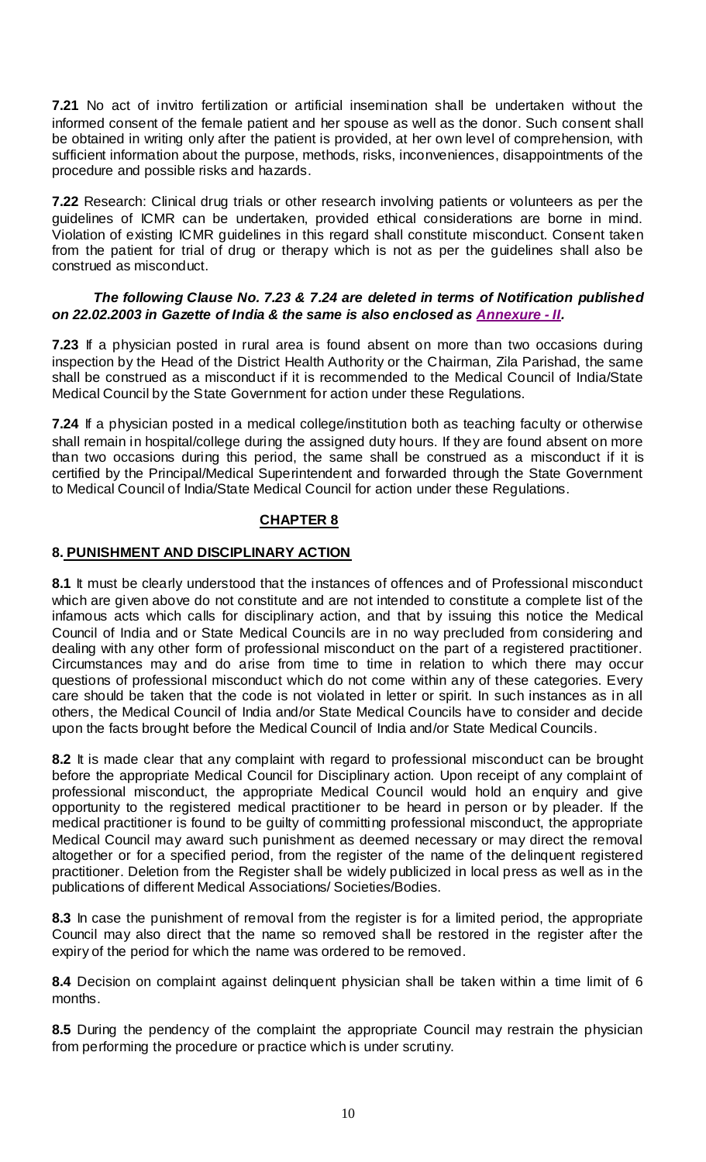**7.21** No act of invitro fertilization or artificial insemination shall be undertaken without the informed consent of the female patient and her spouse as well as the donor. Such consent shall be obtained in writing only after the patient is provided, at her own level of comprehension, with sufficient information about the purpose, methods, risks, inconveniences, disappointments of the procedure and possible risks and hazards.

**7.22** Research: Clinical drug trials or other research involving patients or volunteers as per the guidelines of ICMR can be undertaken, provided ethical considerations are borne in mind. Violation of existing ICMR guidelines in this regard shall constitute misconduct. Consent taken from the patient for trial of drug or therapy which is not as per the guidelines shall also be construed as misconduct.

#### *The following Clause No. 7.23 & 7.24 are deleted in terms of Notification published on 22.02.2003 in Gazette of India & the same is also enclosed as [Annexure -](Gazette%20Notifications%20-%20Amendments/Ethics%20-%2022.02.2003.doc) II.*

**7.23** If a physician posted in rural area is found absent on more than two occasions during inspection by the Head of the District Health Authority or the Chairman, Zila Parishad, the same shall be construed as a misconduct if it is recommended to the Medical Council of India/State Medical Council by the State Government for action under these Regulations.

**7.24** If a physician posted in a medical college/institution both as teaching faculty or otherwise shall remain in hospital/college during the assigned duty hours. If they are found absent on more than two occasions during this period, the same shall be construed as a misconduct if it is certified by the Principal/Medical Superintendent and forwarded through the State Government to Medical Council of India/State Medical Council for action under these Regulations.

# **CHAPTER 8**

# **8. PUNISHMENT AND DISCIPLINARY ACTION**

**8.1** It must be clearly understood that the instances of offences and of Professional misconduct which are given above do not constitute and are not intended to constitute a complete list of the infamous acts which calls for disciplinary action, and that by issuing this notice the Medical Council of India and or State Medical Councils are in no way precluded from considering and dealing with any other form of professional misconduct on the part of a registered practitioner. Circumstances may and do arise from time to time in relation to which there may occur questions of professional misconduct which do not come within any of these categories. Every care should be taken that the code is not violated in letter or spirit. In such instances as in all others, the Medical Council of India and/or State Medical Councils have to consider and decide upon the facts brought before the Medical Council of India and/or State Medical Councils.

**8.2** It is made clear that any complaint with regard to professional misconduct can be brought before the appropriate Medical Council for Disciplinary action. Upon receipt of any complaint of professional misconduct, the appropriate Medical Council would hold an enquiry and give opportunity to the registered medical practitioner to be heard in person or by pleader. If the medical practitioner is found to be guilty of committing professional misconduct, the appropriate Medical Council may award such punishment as deemed necessary or may direct the removal altogether or for a specified period, from the register of the name of the delinquent registered practitioner. Deletion from the Register shall be widely publicized in local press as well as in the publications of different Medical Associations/ Societies/Bodies.

**8.3** In case the punishment of removal from the register is for a limited period, the appropriate Council may also direct that the name so removed shall be restored in the register after the expiry of the period for which the name was ordered to be removed.

**8.4** Decision on complaint against delinquent physician shall be taken within a time limit of 6 months.

**8.5** During the pendency of the complaint the appropriate Council may restrain the physician from performing the procedure or practice which is under scrutiny.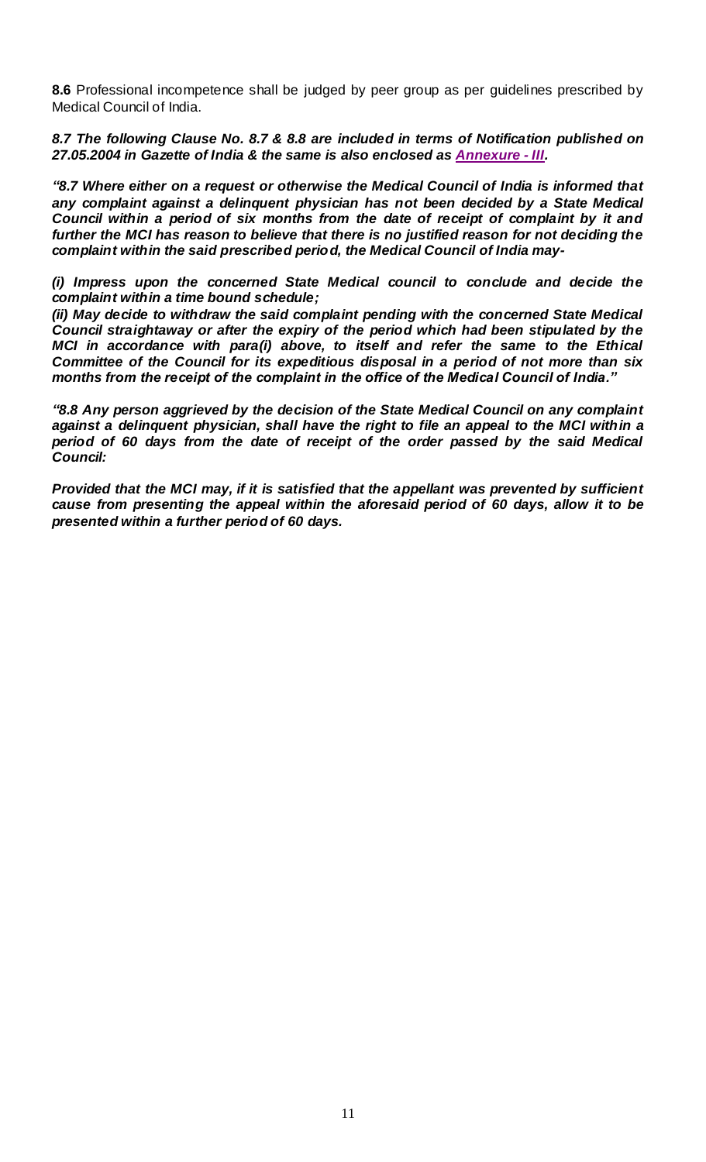**8.6** Professional incompetence shall be judged by peer group as per guidelines prescribed by Medical Council of India.

*8.7 The following Clause No. 8.7 & 8.8 are included in terms of Notification published on 27.05.2004 in Gazette of India & the same is also enclosed as [Annexure -](Gazette%20Notifications%20-%20Amendments/Ethics%20-%2027.05.2004.doc) III.*

*"8.7 Where either on a request or otherwise the Medical Council of India is informed that any complaint against a delinquent physician has not been decided by a State Medical Council within a period of six months from the date of receipt of complaint by it and further the MCI has reason to believe that there is no justified reason for not deciding the complaint within the said prescribed period, the Medical Council of India may-*

*(i) Impress upon the concerned State Medical council to conclude and decide the complaint within a time bound schedule;*

*(ii) May decide to withdraw the said complaint pending with the concerned State Medical Council straightaway or after the expiry of the period which had been stipulated by the MCI* in accordance with para(i) above, to itself and refer the same to the Ethical *Committee of the Council for its expeditious disposal in a period of not more than six months from the receipt of the complaint in the office of the Medical Council of India."* 

*"8.8 Any person aggrieved by the decision of the State Medical Council on any complaint against a delinquent physician, shall have the right to file an appeal to the MCI within a period of 60 days from the date of receipt of the order passed by the said Medical Council:* 

*Provided that the MCI may, if it is satisfied that the appellant was prevented by sufficient cause from presenting the appeal within the aforesaid period of 60 days, allow it to be presented within a further period of 60 days.*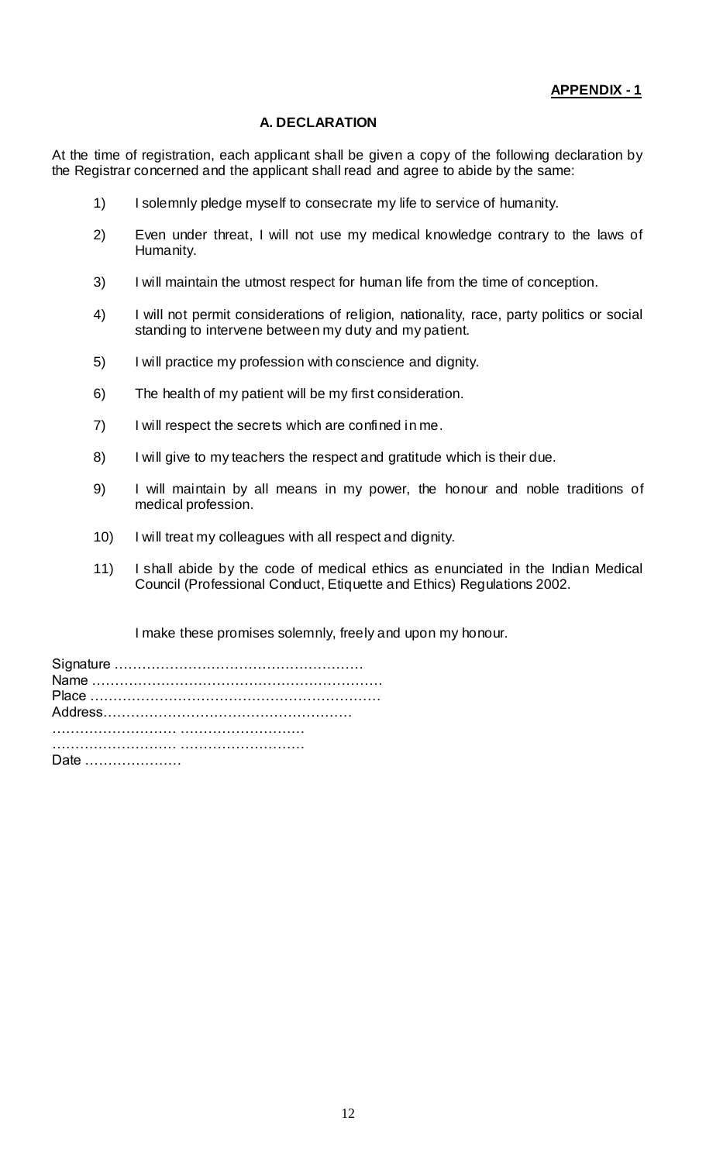# **APPENDIX - 1**

#### **A. DECLARATION**

At the time of registration, each applicant shall be given a copy of the following declaration by the Registrar concerned and the applicant shall read and agree to abide by the same:

- 1) I solemnly pledge myself to consecrate my life to service of humanity.
- 2) Even under threat, I will not use my medical knowledge contrary to the laws of Humanity.
- 3) I will maintain the utmost respect for human life from the time of conception.
- 4) I will not permit considerations of religion, nationality, race, party politics or social standing to intervene between my duty and my patient.
- 5) I will practice my profession with conscience and dignity.
- 6) The health of my patient will be my first consideration.
- 7) I will respect the secrets which are confined in me.
- 8) I will give to my teachers the respect and gratitude which is their due.
- 9) I will maintain by all means in my power, the honour and noble traditions of medical profession.
- 10) I will treat my colleagues with all respect and dignity.
- 11) I shall abide by the code of medical ethics as enunciated in the Indian Medical Council (Professional Conduct, Etiquette and Ethics) Regulations 2002.

I make these promises solemnly, freely and upon my honour.

Signature ……………………………………………… Name ……………………………………………………… Place ……………………………………………………… Address……………………………………………… ……………………… ……………………… ……………………… ……………………… Date …………………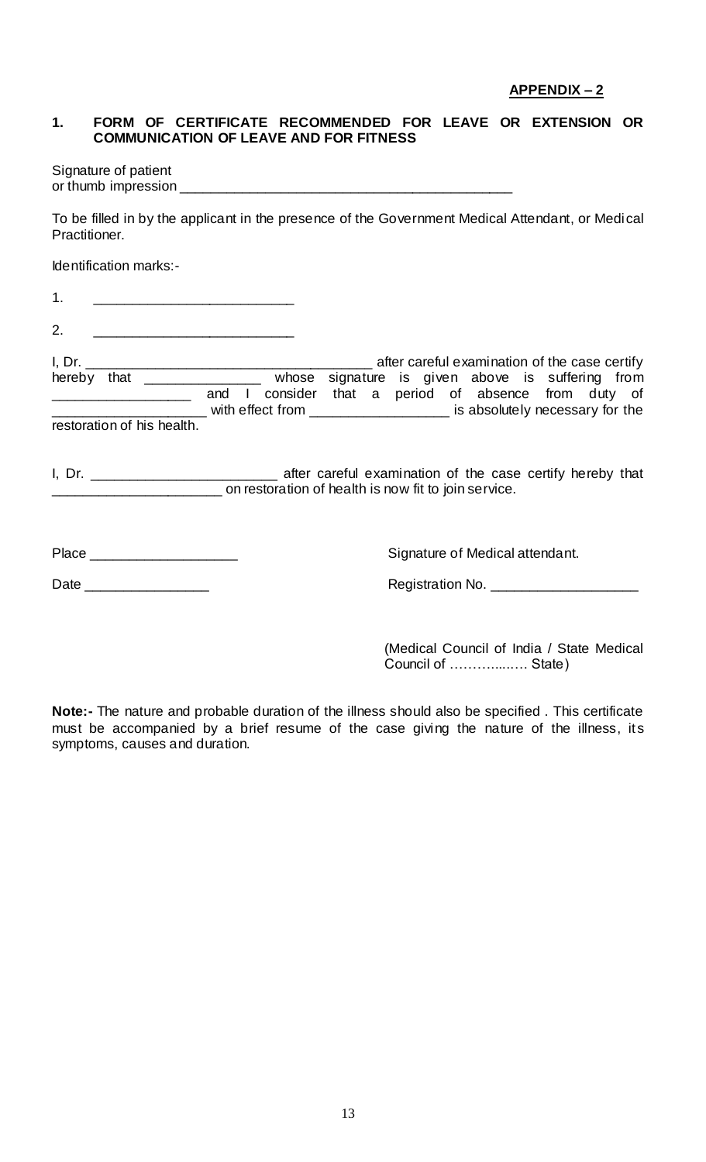#### **APPENDIX – 2**

#### **1. FORM OF CERTIFICATE RECOMMENDED FOR LEAVE OR EXTENSION OR COMMUNICATION OF LEAVE AND FOR FITNESS**

Signature of patient or thumb impression \_\_\_\_\_

To be filled in by the applicant in the presence of the Government Medical Attendant, or Medical Practitioner.

Identification marks:-

| $\mathbf 1$ .                      |                                                                                                                                                                                  |
|------------------------------------|----------------------------------------------------------------------------------------------------------------------------------------------------------------------------------|
| 2.                                 |                                                                                                                                                                                  |
|                                    | after careful examination of the case certify                                                                                                                                    |
| hereby that ________________ whose | signature is given above is suffering from<br>consider that a period of absence from duty of<br>and I<br>with effect from ______________________ is absolutely necessary for the |
| restoration of his health.         |                                                                                                                                                                                  |
|                                    | on restoration of health is now fit to join service.                                                                                                                             |
| Place                              | Signature of Medical attendant.                                                                                                                                                  |

Date \_\_\_\_\_\_\_\_\_\_\_\_\_\_\_\_ Registration No. \_\_\_\_\_\_\_\_\_\_\_\_\_\_\_\_\_\_\_

(Medical Council of India / State Medical Council of ……….....…. State)

**Note:-** The nature and probable duration of the illness should also be specified . This certificate must be accompanied by a brief resume of the case giving the nature of the illness, its symptoms, causes and duration.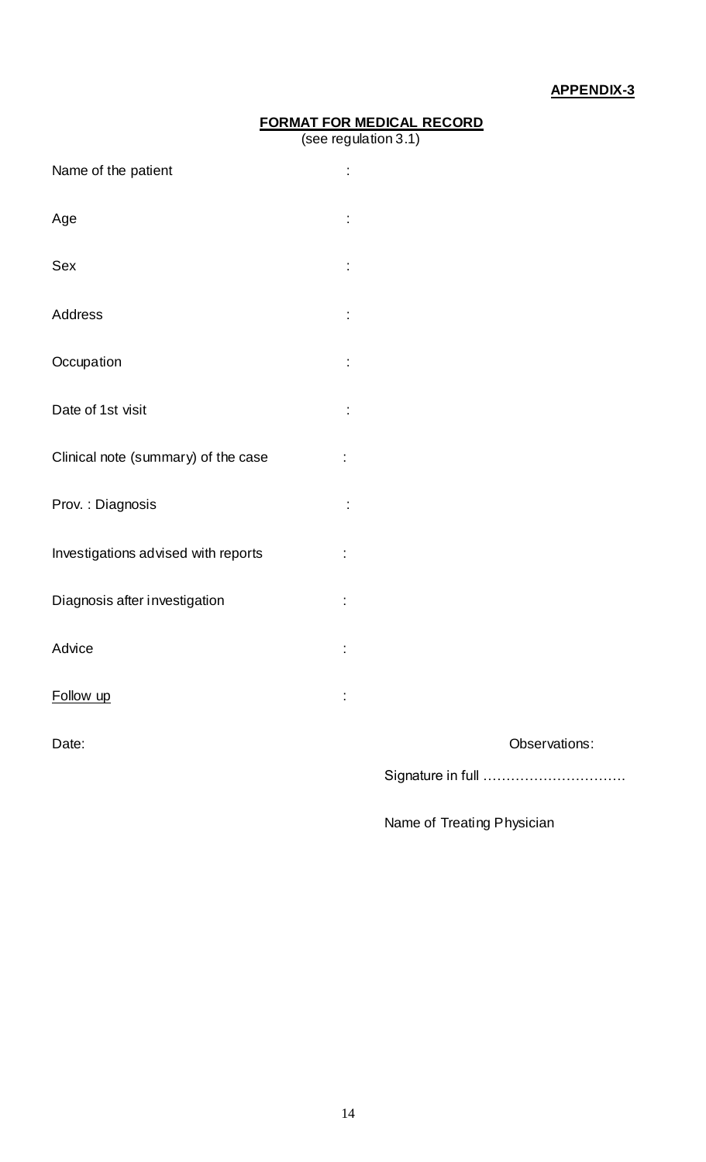### **APPENDIX-3**

### **FORMAT FOR MEDICAL RECORD**

(see regulation 3.1)

| Name of the patient                 |               |
|-------------------------------------|---------------|
| Age                                 |               |
| Sex                                 |               |
| Address                             |               |
| Occupation                          |               |
| Date of 1st visit                   |               |
| Clinical note (summary) of the case |               |
| Prov.: Diagnosis                    |               |
| Investigations advised with reports |               |
| Diagnosis after investigation       |               |
| Advice                              |               |
| Follow up                           |               |
| Date:                               | Observations: |
|                                     |               |

Name of Treating Physician